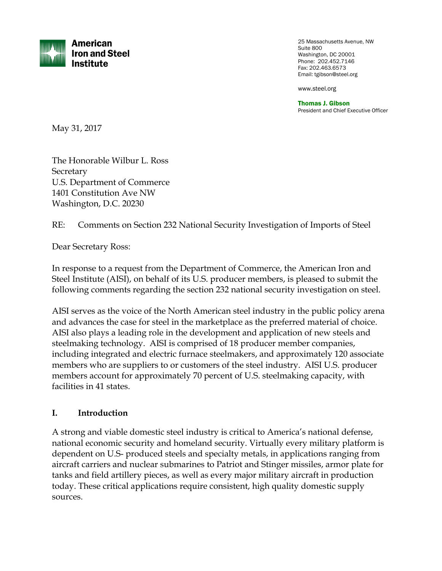

25 Massachusetts Avenue, NW Suite 800 Washington, DC 20001 Phone: 202.452.7146 Fax: 202.463.6573 Email: tgibson@steel.org

www.steel.org

Thomas J. Gibson President and Chief Executive Officer

May 31, 2017

The Honorable Wilbur L. Ross **Secretary** U.S. Department of Commerce 1401 Constitution Ave NW Washington, D.C. 20230

RE: Comments on Section 232 National Security Investigation of Imports of Steel

Dear Secretary Ross:

In response to a request from the Department of Commerce, the American Iron and Steel Institute (AISI), on behalf of its U.S. producer members, is pleased to submit the following comments regarding the section 232 national security investigation on steel.

AISI serves as the voice of the North American steel industry in the public policy arena and advances the case for steel in the marketplace as the preferred material of choice. AISI also plays a leading role in the development and application of new steels and steelmaking technology. AISI is comprised of 18 producer member companies, including integrated and electric furnace steelmakers, and approximately 120 associate members who are suppliers to or customers of the steel industry. AISI U.S. producer members account for approximately 70 percent of U.S. steelmaking capacity, with facilities in 41 states.

#### **I. Introduction**

A strong and viable domestic steel industry is critical to America's national defense, national economic security and homeland security. Virtually every military platform is dependent on U.S- produced steels and specialty metals, in applications ranging from aircraft carriers and nuclear submarines to Patriot and Stinger missiles, armor plate for tanks and field artillery pieces, as well as every major military aircraft in production today. These critical applications require consistent, high quality domestic supply sources.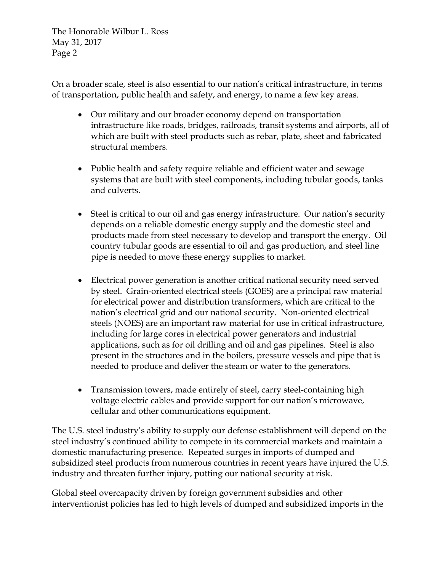On a broader scale, steel is also essential to our nation's critical infrastructure, in terms of transportation, public health and safety, and energy, to name a few key areas.

- Our military and our broader economy depend on transportation infrastructure like roads, bridges, railroads, transit systems and airports, all of which are built with steel products such as rebar, plate, sheet and fabricated structural members.
- Public health and safety require reliable and efficient water and sewage systems that are built with steel components, including tubular goods, tanks and culverts.
- Steel is critical to our oil and gas energy infrastructure. Our nation's security depends on a reliable domestic energy supply and the domestic steel and products made from steel necessary to develop and transport the energy. Oil country tubular goods are essential to oil and gas production, and steel line pipe is needed to move these energy supplies to market.
- Electrical power generation is another critical national security need served by steel. Grain-oriented electrical steels (GOES) are a principal raw material for electrical power and distribution transformers, which are critical to the nation's electrical grid and our national security. Non-oriented electrical steels (NOES) are an important raw material for use in critical infrastructure, including for large cores in electrical power generators and industrial applications, such as for oil drilling and oil and gas pipelines. Steel is also present in the structures and in the boilers, pressure vessels and pipe that is needed to produce and deliver the steam or water to the generators.
- Transmission towers, made entirely of steel, carry steel-containing high voltage electric cables and provide support for our nation's microwave, cellular and other communications equipment.

The U.S. steel industry's ability to supply our defense establishment will depend on the steel industry's continued ability to compete in its commercial markets and maintain a domestic manufacturing presence. Repeated surges in imports of dumped and subsidized steel products from numerous countries in recent years have injured the U.S. industry and threaten further injury, putting our national security at risk.

Global steel overcapacity driven by foreign government subsidies and other interventionist policies has led to high levels of dumped and subsidized imports in the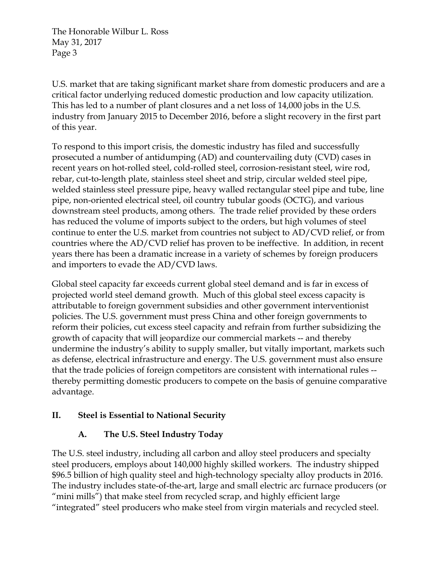U.S. market that are taking significant market share from domestic producers and are a critical factor underlying reduced domestic production and low capacity utilization. This has led to a number of plant closures and a net loss of 14,000 jobs in the U.S. industry from January 2015 to December 2016, before a slight recovery in the first part of this year.

To respond to this import crisis, the domestic industry has filed and successfully prosecuted a number of antidumping (AD) and countervailing duty (CVD) cases in recent years on hot-rolled steel, cold-rolled steel, corrosion-resistant steel, wire rod, rebar, cut-to-length plate, stainless steel sheet and strip, circular welded steel pipe, welded stainless steel pressure pipe, heavy walled rectangular steel pipe and tube, line pipe, non-oriented electrical steel, oil country tubular goods (OCTG), and various downstream steel products, among others. The trade relief provided by these orders has reduced the volume of imports subject to the orders, but high volumes of steel continue to enter the U.S. market from countries not subject to AD/CVD relief, or from countries where the AD/CVD relief has proven to be ineffective. In addition, in recent years there has been a dramatic increase in a variety of schemes by foreign producers and importers to evade the AD/CVD laws.

Global steel capacity far exceeds current global steel demand and is far in excess of projected world steel demand growth. Much of this global steel excess capacity is attributable to foreign government subsidies and other government interventionist policies. The U.S. government must press China and other foreign governments to reform their policies, cut excess steel capacity and refrain from further subsidizing the growth of capacity that will jeopardize our commercial markets -- and thereby undermine the industry's ability to supply smaller, but vitally important, markets such as defense, electrical infrastructure and energy. The U.S. government must also ensure that the trade policies of foreign competitors are consistent with international rules - thereby permitting domestic producers to compete on the basis of genuine comparative advantage.

## **II. Steel is Essential to National Security**

## **A. The U.S. Steel Industry Today**

The U.S. steel industry, including all carbon and alloy steel producers and specialty steel producers, employs about 140,000 highly skilled workers. The industry shipped \$96.5 billion of high quality steel and high-technology specialty alloy products in 2016. The industry includes state-of-the-art, large and small electric arc furnace producers (or "mini mills") that make steel from recycled scrap, and highly efficient large "integrated" steel producers who make steel from virgin materials and recycled steel.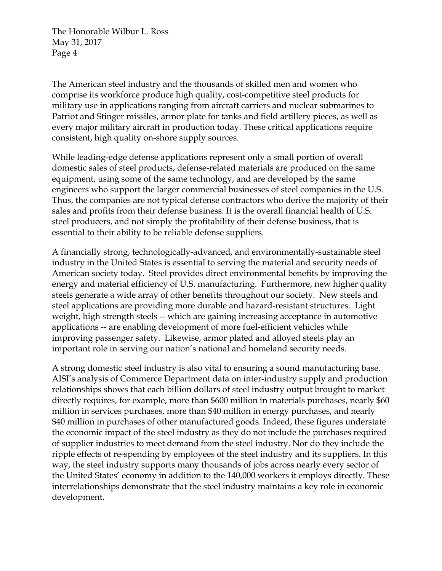The American steel industry and the thousands of skilled men and women who comprise its workforce produce high quality, cost-competitive steel products for military use in applications ranging from aircraft carriers and nuclear submarines to Patriot and Stinger missiles, armor plate for tanks and field artillery pieces, as well as every major military aircraft in production today. These critical applications require consistent, high quality on-shore supply sources.

While leading-edge defense applications represent only a small portion of overall domestic sales of steel products, defense-related materials are produced on the same equipment, using some of the same technology, and are developed by the same engineers who support the larger commercial businesses of steel companies in the U.S. Thus, the companies are not typical defense contractors who derive the majority of their sales and profits from their defense business. It is the overall financial health of U.S. steel producers, and not simply the profitability of their defense business, that is essential to their ability to be reliable defense suppliers.

A financially strong, technologically-advanced, and environmentally-sustainable steel industry in the United States is essential to serving the material and security needs of American society today. Steel provides direct environmental benefits by improving the energy and material efficiency of U.S. manufacturing. Furthermore, new higher quality steels generate a wide array of other benefits throughout our society. New steels and steel applications are providing more durable and hazard-resistant structures. Light weight, high strength steels -- which are gaining increasing acceptance in automotive applications -- are enabling development of more fuel-efficient vehicles while improving passenger safety. Likewise, armor plated and alloyed steels play an important role in serving our nation's national and homeland security needs.

A strong domestic steel industry is also vital to ensuring a sound manufacturing base. AISI's analysis of Commerce Department data on inter-industry supply and production relationships shows that each billion dollars of steel industry output brought to market directly requires, for example, more than \$600 million in materials purchases, nearly \$60 million in services purchases, more than \$40 million in energy purchases, and nearly \$40 million in purchases of other manufactured goods. Indeed, these figures understate the economic impact of the steel industry as they do not include the purchases required of supplier industries to meet demand from the steel industry. Nor do they include the ripple effects of re-spending by employees of the steel industry and its suppliers. In this way, the steel industry supports many thousands of jobs across nearly every sector of the United States' economy in addition to the 140,000 workers it employs directly. These interrelationships demonstrate that the steel industry maintains a key role in economic development.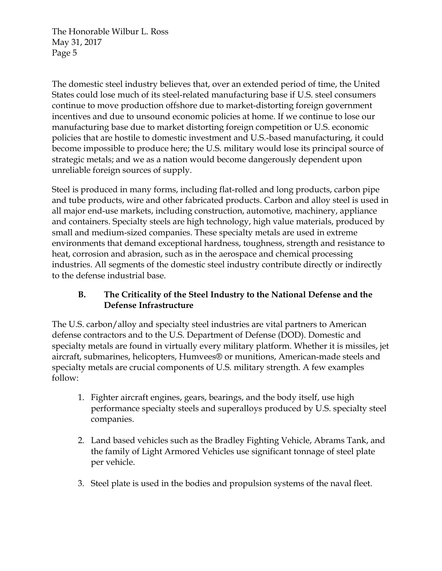The domestic steel industry believes that, over an extended period of time, the United States could lose much of its steel-related manufacturing base if U.S. steel consumers continue to move production offshore due to market-distorting foreign government incentives and due to unsound economic policies at home. If we continue to lose our manufacturing base due to market distorting foreign competition or U.S. economic policies that are hostile to domestic investment and U.S.-based manufacturing, it could become impossible to produce here; the U.S. military would lose its principal source of strategic metals; and we as a nation would become dangerously dependent upon unreliable foreign sources of supply.

Steel is produced in many forms, including flat-rolled and long products, carbon pipe and tube products, wire and other fabricated products. Carbon and alloy steel is used in all major end-use markets, including construction, automotive, machinery, appliance and containers. Specialty steels are high technology, high value materials, produced by small and medium-sized companies. These specialty metals are used in extreme environments that demand exceptional hardness, toughness, strength and resistance to heat, corrosion and abrasion, such as in the aerospace and chemical processing industries. All segments of the domestic steel industry contribute directly or indirectly to the defense industrial base.

## **B. The Criticality of the Steel Industry to the National Defense and the Defense Infrastructure**

The U.S. carbon/alloy and specialty steel industries are vital partners to American defense contractors and to the U.S. Department of Defense (DOD). Domestic and specialty metals are found in virtually every military platform. Whether it is missiles, jet aircraft, submarines, helicopters, Humvees® or munitions, American-made steels and specialty metals are crucial components of U.S. military strength. A few examples follow:

- 1. Fighter aircraft engines, gears, bearings, and the body itself, use high performance specialty steels and superalloys produced by U.S. specialty steel companies.
- 2. Land based vehicles such as the Bradley Fighting Vehicle, Abrams Tank, and the family of Light Armored Vehicles use significant tonnage of steel plate per vehicle.
- 3. Steel plate is used in the bodies and propulsion systems of the naval fleet.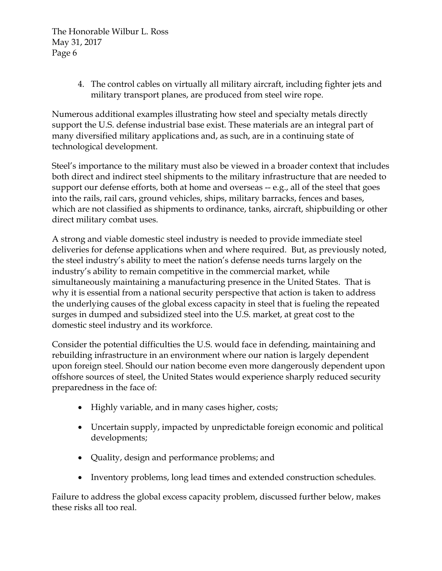> 4. The control cables on virtually all military aircraft, including fighter jets and military transport planes, are produced from steel wire rope.

Numerous additional examples illustrating how steel and specialty metals directly support the U.S. defense industrial base exist. These materials are an integral part of many diversified military applications and, as such, are in a continuing state of technological development.

Steel's importance to the military must also be viewed in a broader context that includes both direct and indirect steel shipments to the military infrastructure that are needed to support our defense efforts, both at home and overseas -- e.g., all of the steel that goes into the rails, rail cars, ground vehicles, ships, military barracks, fences and bases, which are not classified as shipments to ordinance, tanks, aircraft, shipbuilding or other direct military combat uses.

A strong and viable domestic steel industry is needed to provide immediate steel deliveries for defense applications when and where required. But, as previously noted, the steel industry's ability to meet the nation's defense needs turns largely on the industry's ability to remain competitive in the commercial market, while simultaneously maintaining a manufacturing presence in the United States. That is why it is essential from a national security perspective that action is taken to address the underlying causes of the global excess capacity in steel that is fueling the repeated surges in dumped and subsidized steel into the U.S. market, at great cost to the domestic steel industry and its workforce.

Consider the potential difficulties the U.S. would face in defending, maintaining and rebuilding infrastructure in an environment where our nation is largely dependent upon foreign steel. Should our nation become even more dangerously dependent upon offshore sources of steel, the United States would experience sharply reduced security preparedness in the face of:

- Highly variable, and in many cases higher, costs;
- Uncertain supply, impacted by unpredictable foreign economic and political developments;
- Quality, design and performance problems; and
- Inventory problems, long lead times and extended construction schedules.

Failure to address the global excess capacity problem, discussed further below, makes these risks all too real.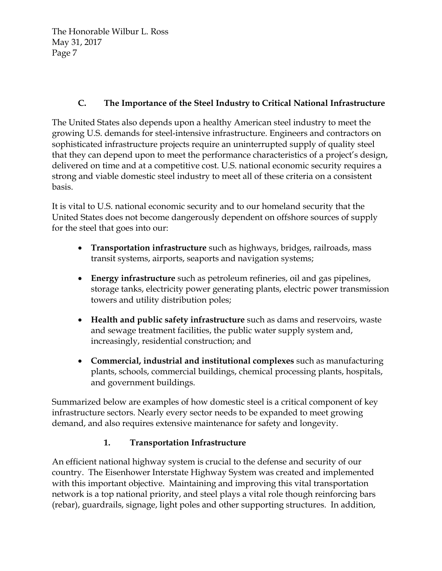# **C. The Importance of the Steel Industry to Critical National Infrastructure**

The United States also depends upon a healthy American steel industry to meet the growing U.S. demands for steel-intensive infrastructure. Engineers and contractors on sophisticated infrastructure projects require an uninterrupted supply of quality steel that they can depend upon to meet the performance characteristics of a project's design, delivered on time and at a competitive cost. U.S. national economic security requires a strong and viable domestic steel industry to meet all of these criteria on a consistent basis.

It is vital to U.S. national economic security and to our homeland security that the United States does not become dangerously dependent on offshore sources of supply for the steel that goes into our:

- **Transportation infrastructure** such as highways, bridges, railroads, mass transit systems, airports, seaports and navigation systems;
- **Energy infrastructure** such as petroleum refineries, oil and gas pipelines, storage tanks, electricity power generating plants, electric power transmission towers and utility distribution poles;
- **Health and public safety infrastructure** such as dams and reservoirs, waste and sewage treatment facilities, the public water supply system and, increasingly, residential construction; and
- **Commercial, industrial and institutional complexes** such as manufacturing plants, schools, commercial buildings, chemical processing plants, hospitals, and government buildings.

Summarized below are examples of how domestic steel is a critical component of key infrastructure sectors. Nearly every sector needs to be expanded to meet growing demand, and also requires extensive maintenance for safety and longevity.

## **1. Transportation Infrastructure**

An efficient national highway system is crucial to the defense and security of our country. The Eisenhower Interstate Highway System was created and implemented with this important objective. Maintaining and improving this vital transportation network is a top national priority, and steel plays a vital role though reinforcing bars (rebar), guardrails, signage, light poles and other supporting structures. In addition,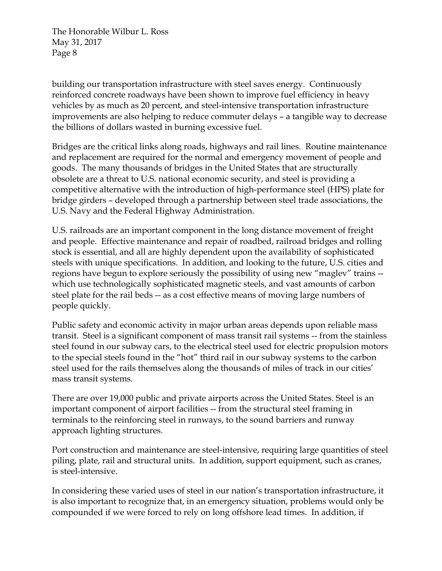building our transportation infrastructure with steel saves energy. Continuously reinforced concrete roadways have been shown to improve fuel efficiency in heavy vehicles by as much as 20 percent, and steel-intensive transportation infrastructure improvements are also helping to reduce commuter delays – a tangible way to decrease the billions of dollars wasted in burning excessive fuel.

Bridges are the critical links along roads, highways and rail lines. Routine maintenance and replacement are required for the normal and emergency movement of people and goods. The many thousands of bridges in the United States that are structurally obsolete are a threat to U.S. national economic security, and steel is providing a competitive alternative with the introduction of high-performance steel (HPS) plate for bridge girders – developed through a partnership between steel trade associations, the U.S. Navy and the Federal Highway Administration.

U.S. railroads are an important component in the long distance movement of freight and people. Effective maintenance and repair of roadbed, railroad bridges and rolling stock is essential, and all are highly dependent upon the availability of sophisticated steels with unique specifications. In addition, and looking to the future, U.S. cities and regions have begun to explore seriously the possibility of using new "maglev" trains - which use technologically sophisticated magnetic steels, and vast amounts of carbon steel plate for the rail beds -- as a cost effective means of moving large numbers of people quickly.

Public safety and economic activity in major urban areas depends upon reliable mass transit. Steel is a significant component of mass transit rail systems -- from the stainless steel found in our subway cars, to the electrical steel used for electric propulsion motors to the special steels found in the "hot" third rail in our subway systems to the carbon steel used for the rails themselves along the thousands of miles of track in our cities' mass transit systems.

There are over 19,000 public and private airports across the United States. Steel is an important component of airport facilities -- from the structural steel framing in terminals to the reinforcing steel in runways, to the sound barriers and runway approach lighting structures.

Port construction and maintenance are steel-intensive, requiring large quantities of steel piling, plate, rail and structural units. In addition, support equipment, such as cranes, is steel-intensive.

In considering these varied uses of steel in our nation's transportation infrastructure, it is also important to recognize that, in an emergency situation, problems would only be compounded if we were forced to rely on long offshore lead times. In addition, if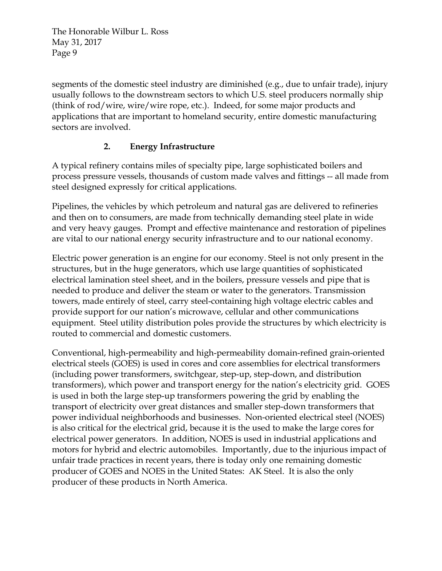segments of the domestic steel industry are diminished (e.g., due to unfair trade), injury usually follows to the downstream sectors to which U.S. steel producers normally ship (think of rod/wire, wire/wire rope, etc.). Indeed, for some major products and applications that are important to homeland security, entire domestic manufacturing sectors are involved.

## **2. Energy Infrastructure**

A typical refinery contains miles of specialty pipe, large sophisticated boilers and process pressure vessels, thousands of custom made valves and fittings -- all made from steel designed expressly for critical applications.

Pipelines, the vehicles by which petroleum and natural gas are delivered to refineries and then on to consumers, are made from technically demanding steel plate in wide and very heavy gauges. Prompt and effective maintenance and restoration of pipelines are vital to our national energy security infrastructure and to our national economy.

Electric power generation is an engine for our economy. Steel is not only present in the structures, but in the huge generators, which use large quantities of sophisticated electrical lamination steel sheet, and in the boilers, pressure vessels and pipe that is needed to produce and deliver the steam or water to the generators. Transmission towers, made entirely of steel, carry steel-containing high voltage electric cables and provide support for our nation's microwave, cellular and other communications equipment. Steel utility distribution poles provide the structures by which electricity is routed to commercial and domestic customers.

Conventional, high-permeability and high-permeability domain-refined grain-oriented electrical steels (GOES) is used in cores and core assemblies for electrical transformers (including power transformers, switchgear, step-up, step-down, and distribution transformers), which power and transport energy for the nation's electricity grid. GOES is used in both the large step-up transformers powering the grid by enabling the transport of electricity over great distances and smaller step-down transformers that power individual neighborhoods and businesses. Non-oriented electrical steel (NOES) is also critical for the electrical grid, because it is the used to make the large cores for electrical power generators. In addition, NOES is used in industrial applications and motors for hybrid and electric automobiles. Importantly, due to the injurious impact of unfair trade practices in recent years, there is today only one remaining domestic producer of GOES and NOES in the United States: AK Steel. It is also the only producer of these products in North America.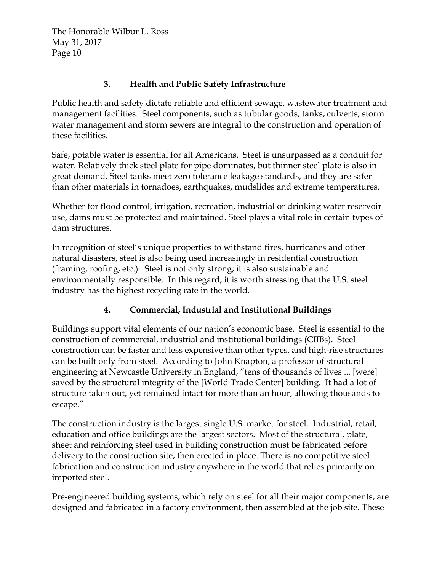#### **3. Health and Public Safety Infrastructure**

Public health and safety dictate reliable and efficient sewage, wastewater treatment and management facilities. Steel components, such as tubular goods, tanks, culverts, storm water management and storm sewers are integral to the construction and operation of these facilities.

Safe, potable water is essential for all Americans. Steel is unsurpassed as a conduit for water. Relatively thick steel plate for pipe dominates, but thinner steel plate is also in great demand. Steel tanks meet zero tolerance leakage standards, and they are safer than other materials in tornadoes, earthquakes, mudslides and extreme temperatures.

Whether for flood control, irrigation, recreation, industrial or drinking water reservoir use, dams must be protected and maintained. Steel plays a vital role in certain types of dam structures.

In recognition of steel's unique properties to withstand fires, hurricanes and other natural disasters, steel is also being used increasingly in residential construction (framing, roofing, etc.). Steel is not only strong; it is also sustainable and environmentally responsible. In this regard, it is worth stressing that the U.S. steel industry has the highest recycling rate in the world.

## **4. Commercial, Industrial and Institutional Buildings**

Buildings support vital elements of our nation's economic base. Steel is essential to the construction of commercial, industrial and institutional buildings (CIIBs). Steel construction can be faster and less expensive than other types, and high-rise structures can be built only from steel. According to John Knapton, a professor of structural engineering at Newcastle University in England, "tens of thousands of lives ... [were] saved by the structural integrity of the [World Trade Center] building. It had a lot of structure taken out, yet remained intact for more than an hour, allowing thousands to escape."

The construction industry is the largest single U.S. market for steel. Industrial, retail, education and office buildings are the largest sectors. Most of the structural, plate, sheet and reinforcing steel used in building construction must be fabricated before delivery to the construction site, then erected in place. There is no competitive steel fabrication and construction industry anywhere in the world that relies primarily on imported steel.

Pre-engineered building systems, which rely on steel for all their major components, are designed and fabricated in a factory environment, then assembled at the job site. These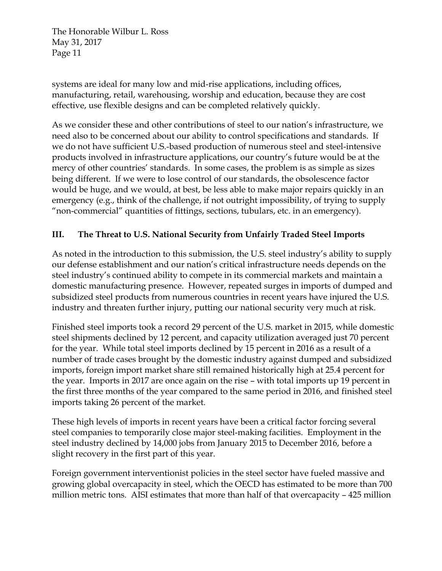systems are ideal for many low and mid-rise applications, including offices, manufacturing, retail, warehousing, worship and education, because they are cost effective, use flexible designs and can be completed relatively quickly.

As we consider these and other contributions of steel to our nation's infrastructure, we need also to be concerned about our ability to control specifications and standards. If we do not have sufficient U.S.-based production of numerous steel and steel-intensive products involved in infrastructure applications, our country's future would be at the mercy of other countries' standards. In some cases, the problem is as simple as sizes being different. If we were to lose control of our standards, the obsolescence factor would be huge, and we would, at best, be less able to make major repairs quickly in an emergency (e.g., think of the challenge, if not outright impossibility, of trying to supply "non-commercial" quantities of fittings, sections, tubulars, etc. in an emergency).

#### **III. The Threat to U.S. National Security from Unfairly Traded Steel Imports**

As noted in the introduction to this submission, the U.S. steel industry's ability to supply our defense establishment and our nation's critical infrastructure needs depends on the steel industry's continued ability to compete in its commercial markets and maintain a domestic manufacturing presence. However, repeated surges in imports of dumped and subsidized steel products from numerous countries in recent years have injured the U.S. industry and threaten further injury, putting our national security very much at risk.

Finished steel imports took a record 29 percent of the U.S. market in 2015, while domestic steel shipments declined by 12 percent, and capacity utilization averaged just 70 percent for the year. While total steel imports declined by 15 percent in 2016 as a result of a number of trade cases brought by the domestic industry against dumped and subsidized imports, foreign import market share still remained historically high at 25.4 percent for the year. Imports in 2017 are once again on the rise – with total imports up 19 percent in the first three months of the year compared to the same period in 2016, and finished steel imports taking 26 percent of the market.

These high levels of imports in recent years have been a critical factor forcing several steel companies to temporarily close major steel-making facilities. Employment in the steel industry declined by 14,000 jobs from January 2015 to December 2016, before a slight recovery in the first part of this year.

Foreign government interventionist policies in the steel sector have fueled massive and growing global overcapacity in steel, which the OECD has estimated to be more than 700 million metric tons. AISI estimates that more than half of that overcapacity – 425 million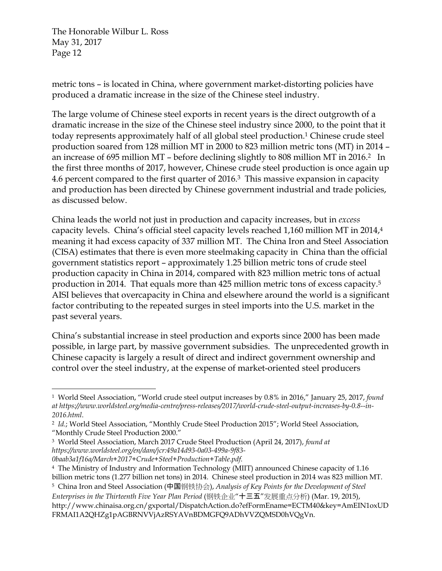metric tons – is located in China, where government market-distorting policies have produced a dramatic increase in the size of the Chinese steel industry.

The large volume of Chinese steel exports in recent years is the direct outgrowth of a dramatic increase in the size of the Chinese steel industry since 2000, to the point that it today represents approximately half of all global steel production.<sup>1</sup> Chinese crude steel production soared from 128 million MT in 2000 to 823 million metric tons (MT) in 2014 – an increase of 695 million MT – before declining slightly to 808 million MT in 2016.2 In the first three months of 2017, however, Chinese crude steel production is once again up 4.6 percent compared to the first quarter of 2016.3 This massive expansion in capacity and production has been directed by Chinese government industrial and trade policies, as discussed below.

China leads the world not just in production and capacity increases, but in *excess* capacity levels. China's official steel capacity levels reached 1,160 million MT in 2014,4 meaning it had excess capacity of 337 million MT. The China Iron and Steel Association (CISA) estimates that there is even more steelmaking capacity in China than the official government statistics report – approximately 1.25 billion metric tons of crude steel production capacity in China in 2014, compared with 823 million metric tons of actual production in 2014. That equals more than 425 million metric tons of excess capacity.5 AISI believes that overcapacity in China and elsewhere around the world is a significant factor contributing to the repeated surges in steel imports into the U.S. market in the past several years.

China's substantial increase in steel production and exports since 2000 has been made possible, in large part, by massive government subsidies. The unprecedented growth in Chinese capacity is largely a result of direct and indirect government ownership and control over the steel industry, at the expense of market-oriented steel producers

 1 World Steel Association, "World crude steel output increases by 0.8% in 2016," January 25, 2017, *found at https://www.worldsteel.org/media-centre/press-releases/2017/world-crude-steel-output-increases-by-0.8--in-*

*<sup>2016.</sup>html*. 2 *Id.*; World Steel Association, "Monthly Crude Steel Production 2015"; World Steel Association, "Monthly Crude Steel Production 2000."

<sup>3</sup> World Steel Association, March 2017 Crude Steel Production (April 24, 2017), *found at https://www.worldsteel.org/en/dam/jcr:49a14d93-0a03-499a-9f83- 0baab3a1f16a/March+2017+Crude+Steel+Production+Table.pdf.* 

<sup>4</sup> The Ministry of Industry and Information Technology (MIIT) announced Chinese capacity of 1.16 billion metric tons (1.277 billion net tons) in 2014. Chinese steel production in 2014 was 823 million MT.

<sup>5</sup> China Iron and Steel Association (中国钢铁协会), *Analysis of Key Points for the Development of Steel* 

*Enterprises in the Thirteenth Five Year Plan Period* (钢铁企业"十三五"发展重点分析) (Mar. 19, 2015), http://www.chinaisa.org.cn/gxportal/DispatchAction.do?efFormEname=ECTM40&key=AmEIN1oxUD FRMAI1A2QHZg1pAGBRNVVjAzRSYAVnBDMGFQ9ADhVVZQMSD0hVQgVn.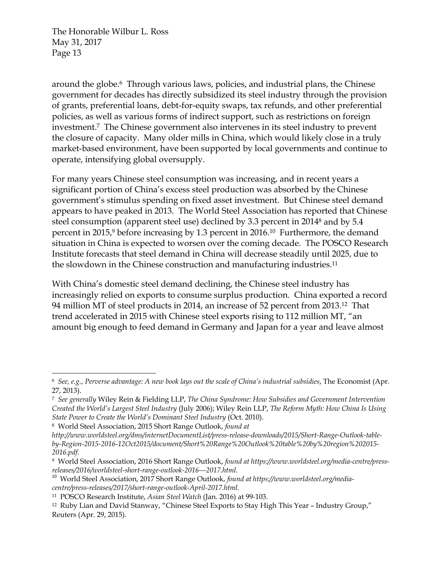around the globe.6 Through various laws, policies, and industrial plans, the Chinese government for decades has directly subsidized its steel industry through the provision of grants, preferential loans, debt-for-equity swaps, tax refunds, and other preferential policies, as well as various forms of indirect support, such as restrictions on foreign investment.7 The Chinese government also intervenes in its steel industry to prevent the closure of capacity. Many older mills in China, which would likely close in a truly market-based environment, have been supported by local governments and continue to operate, intensifying global oversupply.

For many years Chinese steel consumption was increasing, and in recent years a significant portion of China's excess steel production was absorbed by the Chinese government's stimulus spending on fixed asset investment. But Chinese steel demand appears to have peaked in 2013. The World Steel Association has reported that Chinese steel consumption (apparent steel use) declined by 3.3 percent in 20148 and by 5.4 percent in 2015,<sup>9</sup> before increasing by 1.3 percent in 2016.<sup>10</sup> Furthermore, the demand situation in China is expected to worsen over the coming decade. The POSCO Research Institute forecasts that steel demand in China will decrease steadily until 2025, due to the slowdown in the Chinese construction and manufacturing industries.11

With China's domestic steel demand declining, the Chinese steel industry has increasingly relied on exports to consume surplus production. China exported a record 94 million MT of steel products in 2014, an increase of 52 percent from 2013.12 That trend accelerated in 2015 with Chinese steel exports rising to 112 million MT, "an amount big enough to feed demand in Germany and Japan for a year and leave almost

<sup>6</sup> *See, e.g.*, *Perverse advantage: A new book lays out the scale of China's industrial subsidies*, The Economist (Apr. 27, 2013).

<sup>7</sup> *See generally* Wiley Rein & Fielding LLP, *The China Syndrome: How Subsidies and Government Intervention Created the World's Largest Steel Industry* (July 2006); Wiley Rein LLP, *The Reform Myth: How China Is Using State Power to Create the World's Dominant Steel Industry* (Oct. 2010).

<sup>8</sup> World Steel Association, 2015 Short Range Outlook, *found at* 

*http://www.worldsteel.org/dms/internetDocumentList/press-release-downloads/2015/Short-Range-Outlook-tableby-Region-2015-2016-12Oct2015/document/Short%20Range%20Outlook%20table%20by%20region%202015- 2016.pdf.*

<sup>9</sup> World Steel Association, 2016 Short Range Outlook, *found at https://www.worldsteel.org/media-centre/pressreleases/2016/worldsteel-short-range-outlook-2016---2017.html.* 

<sup>10</sup> World Steel Association, 2017 Short Range Outlook, *found at https://www.worldsteel.org/mediacentre/press-releases/2017/short-range-outlook-April-2017.html.*

<sup>11</sup> POSCO Research Institute, *Asian Steel Watch* (Jan. 2016) at 99-103.

<sup>12</sup> Ruby Lian and David Stanway, "Chinese Steel Exports to Stay High This Year – Industry Group," Reuters (Apr. 29, 2015).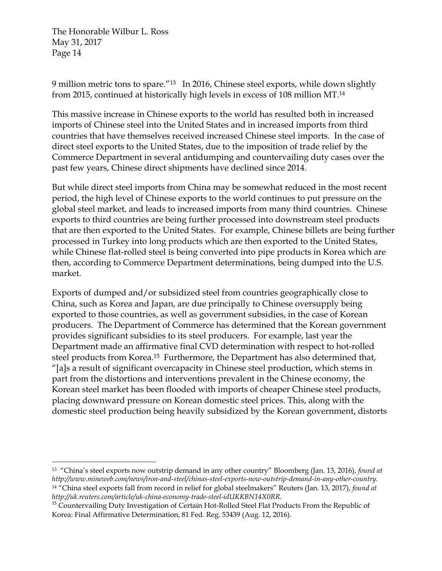9 million metric tons to spare."13 In 2016, Chinese steel exports, while down slightly from 2015, continued at historically high levels in excess of 108 million MT.14

This massive increase in Chinese exports to the world has resulted both in increased imports of Chinese steel into the United States and in increased imports from third countries that have themselves received increased Chinese steel imports. In the case of direct steel exports to the United States, due to the imposition of trade relief by the Commerce Department in several antidumping and countervailing duty cases over the past few years, Chinese direct shipments have declined since 2014.

But while direct steel imports from China may be somewhat reduced in the most recent period, the high level of Chinese exports to the world continues to put pressure on the global steel market, and leads to increased imports from many third countries. Chinese exports to third countries are being further processed into downstream steel products that are then exported to the United States. For example, Chinese billets are being further processed in Turkey into long products which are then exported to the United States, while Chinese flat-rolled steel is being converted into pipe products in Korea which are then, according to Commerce Department determinations, being dumped into the U.S. market.

Exports of dumped and/or subsidized steel from countries geographically close to China, such as Korea and Japan, are due principally to Chinese oversupply being exported to those countries, as well as government subsidies, in the case of Korean producers. The Department of Commerce has determined that the Korean government provides significant subsidies to its steel producers. For example, last year the Department made an affirmative final CVD determination with respect to hot-rolled steel products from Korea.15 Furthermore, the Department has also determined that, "[a]s a result of significant overcapacity in Chinese steel production, which stems in part from the distortions and interventions prevalent in the Chinese economy, the Korean steel market has been flooded with imports of cheaper Chinese steel products, placing downward pressure on Korean domestic steel prices. This, along with the domestic steel production being heavily subsidized by the Korean government, distorts

 13 "China's steel exports now outstrip demand in any other country" Bloomberg (Jan. 13, 2016), *found at http://www.mineweb.com/news/iron-and-steel/chinas-steel-exports-now-outstrip-demand-in-any-other-country.*  14 "China steel exports fall from record in relief for global steelmakers" Reuters (Jan. 13, 2017), *found at http://uk.reuters.com/article/uk-china-economy-trade-steel-idUKKBN14X0RR.* 

<sup>&</sup>lt;sup>15</sup> Countervailing Duty Investigation of Certain Hot-Rolled Steel Flat Products From the Republic of Korea: Final Affirmative Determination, 81 Fed. Reg. 53439 (Aug. 12, 2016).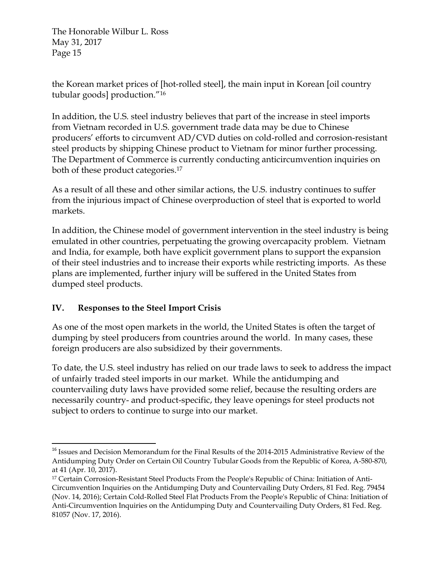the Korean market prices of [hot-rolled steel], the main input in Korean [oil country tubular goods] production."16

In addition, the U.S. steel industry believes that part of the increase in steel imports from Vietnam recorded in U.S. government trade data may be due to Chinese producers' efforts to circumvent AD/CVD duties on cold-rolled and corrosion-resistant steel products by shipping Chinese product to Vietnam for minor further processing. The Department of Commerce is currently conducting anticircumvention inquiries on both of these product categories.17

As a result of all these and other similar actions, the U.S. industry continues to suffer from the injurious impact of Chinese overproduction of steel that is exported to world markets.

In addition, the Chinese model of government intervention in the steel industry is being emulated in other countries, perpetuating the growing overcapacity problem. Vietnam and India, for example, both have explicit government plans to support the expansion of their steel industries and to increase their exports while restricting imports. As these plans are implemented, further injury will be suffered in the United States from dumped steel products.

## **IV. Responses to the Steel Import Crisis**

As one of the most open markets in the world, the United States is often the target of dumping by steel producers from countries around the world. In many cases, these foreign producers are also subsidized by their governments.

To date, the U.S. steel industry has relied on our trade laws to seek to address the impact of unfairly traded steel imports in our market. While the antidumping and countervailing duty laws have provided some relief, because the resulting orders are necessarily country- and product-specific, they leave openings for steel products not subject to orders to continue to surge into our market.

 <sup>16</sup> Issues and Decision Memorandum for the Final Results of the 2014-2015 Administrative Review of the Antidumping Duty Order on Certain Oil Country Tubular Goods from the Republic of Korea, A-580-870, at 41 (Apr. 10, 2017).

<sup>17</sup> Certain Corrosion-Resistant Steel Products From the People's Republic of China: Initiation of Anti-Circumvention Inquiries on the Antidumping Duty and Countervailing Duty Orders, 81 Fed. Reg. 79454 (Nov. 14, 2016); Certain Cold-Rolled Steel Flat Products From the People's Republic of China: Initiation of Anti-Circumvention Inquiries on the Antidumping Duty and Countervailing Duty Orders, 81 Fed. Reg. 81057 (Nov. 17, 2016).